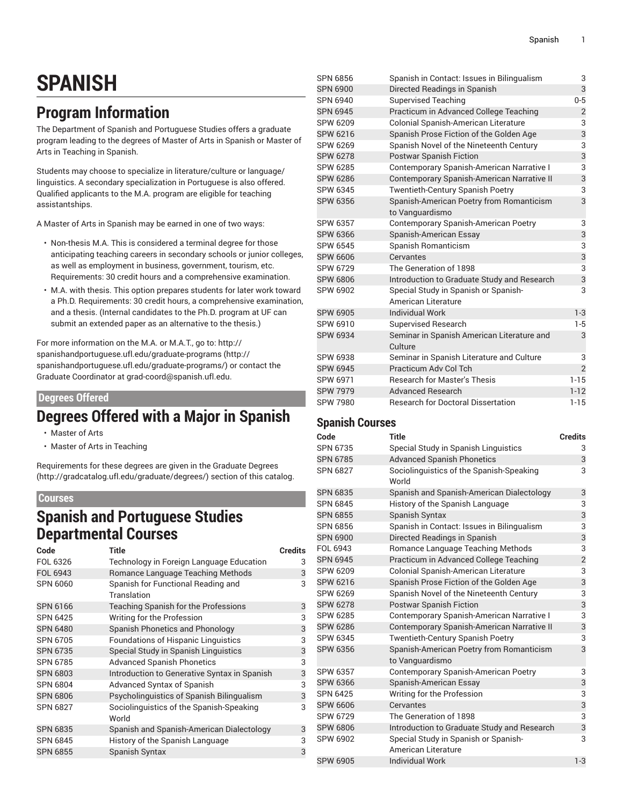# **SPANISH**

# **Program Information**

The Department of Spanish and Portuguese Studies offers a graduate program leading to the degrees of Master of Arts in Spanish or Master of Arts in Teaching in Spanish.

Students may choose to specialize in literature/culture or language/ linguistics. A secondary specialization in Portuguese is also offered. Qualified applicants to the M.A. program are eligible for teaching assistantships.

A Master of Arts in Spanish may be earned in one of two ways:

- Non-thesis M.A. This is considered a terminal degree for those anticipating teaching careers in secondary schools or junior colleges, as well as employment in business, government, tourism, etc. Requirements: 30 credit hours and a comprehensive examination.
- M.A. with thesis. This option prepares students for later work toward a Ph.D. Requirements: 30 credit hours, a comprehensive examination, and a thesis. (Internal candidates to the Ph.D. program at UF can submit an extended paper as an alternative to the thesis.)

For more information on the M.A. or M.A.T., go to: [http://](http://spanishandportuguese.ufl.edu/graduate-programs/) [spanishandportuguese.ufl.edu/graduate-programs](http://spanishandportuguese.ufl.edu/graduate-programs/) ([http://](http://spanishandportuguese.ufl.edu/graduate-programs/) [spanishandportuguese.ufl.edu/graduate-programs/](http://spanishandportuguese.ufl.edu/graduate-programs/)) or contact the Graduate Coordinator at [grad-coord@spanish.ufl.edu.](mailto:grad-coord@spanish.ufl.edu)

#### **Degrees Offered**

## **Degrees Offered with a Major in Spanish**

- Master of Arts
- Master of Arts in Teaching

Requirements for these degrees are given in the [Graduate](http://gradcatalog.ufl.edu/graduate/degrees/) Degrees ([http://gradcatalog.ufl.edu/graduate/degrees/\)](http://gradcatalog.ufl.edu/graduate/degrees/) section of this catalog.

#### **Courses**

### **Spanish and Portuguese Studies Departmental Courses**

| Code            | <b>Title</b>                                      | <b>Credits</b> |
|-----------------|---------------------------------------------------|----------------|
| FOL 6326        | Technology in Foreign Language Education          | 3              |
| FOL 6943        | Romance Language Teaching Methods                 | 3              |
| SPN 6060        | Spanish for Functional Reading and                | 3              |
|                 | Translation                                       |                |
| <b>SPN 6166</b> | Teaching Spanish for the Professions              | $\frac{3}{3}$  |
| SPN 6425        | Writing for the Profession                        |                |
| <b>SPN 6480</b> | Spanish Phonetics and Phonology                   | $\frac{3}{3}$  |
| <b>SPN 6705</b> | <b>Foundations of Hispanic Linguistics</b>        |                |
| <b>SPN 6735</b> | Special Study in Spanish Linguistics              | 3              |
| SPN 6785        | <b>Advanced Spanish Phonetics</b>                 | 3              |
| <b>SPN 6803</b> | Introduction to Generative Syntax in Spanish      | $\frac{3}{3}$  |
| <b>SPN 6804</b> | <b>Advanced Syntax of Spanish</b>                 |                |
| <b>SPN 6806</b> | Psycholinguistics of Spanish Bilingualism         | $\frac{3}{3}$  |
| SPN 6827        | Sociolinguistics of the Spanish-Speaking<br>World |                |
| <b>SPN 6835</b> | Spanish and Spanish-American Dialectology         | 3              |
| <b>SPN 6845</b> | History of the Spanish Language                   | 3              |
| <b>SPN 6855</b> | <b>Spanish Syntax</b>                             | 3              |

| SPN 6856        | Spanish in Contact: Issues in Bilingualism  | 3              |
|-----------------|---------------------------------------------|----------------|
| <b>SPN 6900</b> | Directed Readings in Spanish                | $\mathbf{3}$   |
| <b>SPN 6940</b> | <b>Supervised Teaching</b>                  | $0 - 5$        |
| <b>SPN 6945</b> | Practicum in Advanced College Teaching      | $\overline{2}$ |
| SPW 6209        | Colonial Spanish-American Literature        | 3              |
| SPW 6216        | Spanish Prose Fiction of the Golden Age     | 3              |
| SPW 6269        | Spanish Novel of the Nineteenth Century     | 3              |
| <b>SPW 6278</b> | <b>Postwar Spanish Fiction</b>              | 3              |
| SPW 6285        | Contemporary Spanish-American Narrative I   | 3              |
| <b>SPW 6286</b> | Contemporary Spanish-American Narrative II  | 3              |
| SPW 6345        | Twentieth-Century Spanish Poetry            | 3              |
| SPW 6356        | Spanish-American Poetry from Romanticism    | 3              |
|                 | to Vanguardismo                             |                |
| SPW 6357        | Contemporary Spanish-American Poetry        | 3              |
| <b>SPW 6366</b> | Spanish-American Essay                      | 3              |
| SPW 6545        | Spanish Romanticism                         | 3              |
| <b>SPW 6606</b> | Cervantes                                   | 3              |
| <b>SPW 6729</b> | The Generation of 1898                      | 3              |
| <b>SPW 6806</b> | Introduction to Graduate Study and Research | 3              |
| SPW 6902        | Special Study in Spanish or Spanish-        | 3              |
|                 | American Literature                         |                |
| <b>SPW 6905</b> | <b>Individual Work</b>                      | $1 - 3$        |
| SPW 6910        | <b>Supervised Research</b>                  | $1-5$          |
| SPW 6934        | Seminar in Spanish American Literature and  | 3              |
|                 | Culture                                     |                |
| SPW 6938        | Seminar in Spanish Literature and Culture   | 3              |
| <b>SPW 6945</b> | Practicum Adv Col Tch                       | $\overline{2}$ |
| SPW 6971        | <b>Research for Master's Thesis</b>         | $1 - 15$       |
| <b>SPW 7979</b> | <b>Advanced Research</b>                    | $1 - 12$       |
| <b>SPW 7980</b> | <b>Research for Doctoral Dissertation</b>   | $1 - 15$       |
|                 |                                             |                |

### **Spanish Courses**

| Code            | <b>Title</b>                                | <b>Credits</b> |
|-----------------|---------------------------------------------|----------------|
| SPN 6735        | Special Study in Spanish Linguistics        | 3              |
| <b>SPN 6785</b> | <b>Advanced Spanish Phonetics</b>           | 3              |
| <b>SPN 6827</b> | Sociolinguistics of the Spanish-Speaking    | 3              |
|                 | World                                       |                |
| <b>SPN 6835</b> | Spanish and Spanish-American Dialectology   | 3              |
| <b>SPN 6845</b> | History of the Spanish Language             | 3              |
| <b>SPN 6855</b> | <b>Spanish Syntax</b>                       | 3              |
| <b>SPN 6856</b> | Spanish in Contact: Issues in Bilingualism  | 3              |
| <b>SPN 6900</b> | Directed Readings in Spanish                | 3              |
| FOL 6943        | Romance Language Teaching Methods           | 3              |
| <b>SPN 6945</b> | Practicum in Advanced College Teaching      | $\overline{c}$ |
| SPW 6209        | Colonial Spanish-American Literature        | 3              |
| <b>SPW 6216</b> | Spanish Prose Fiction of the Golden Age     | 3              |
| SPW 6269        | Spanish Novel of the Nineteenth Century     | 3              |
| <b>SPW 6278</b> | <b>Postwar Spanish Fiction</b>              | 3              |
| SPW 6285        | Contemporary Spanish-American Narrative I   | 3              |
| <b>SPW 6286</b> | Contemporary Spanish-American Narrative II  | 3              |
| SPW 6345        | <b>Twentieth-Century Spanish Poetry</b>     | 3              |
| SPW 6356        | Spanish-American Poetry from Romanticism    | 3              |
|                 | to Vanguardismo                             |                |
| SPW 6357        | Contemporary Spanish-American Poetry        | 3              |
| <b>SPW 6366</b> | Spanish-American Essay                      | 3              |
| SPN 6425        | Writing for the Profession                  | 3              |
| <b>SPW 6606</b> | Cervantes                                   | 3              |
| SPW 6729        | The Generation of 1898                      | 3              |
| <b>SPW 6806</b> | Introduction to Graduate Study and Research | 3              |
| SPW 6902        | Special Study in Spanish or Spanish-        | 3              |
|                 | American Literature                         |                |
| <b>SPW 6905</b> | <b>Individual Work</b>                      | $1 - 3$        |
|                 |                                             |                |